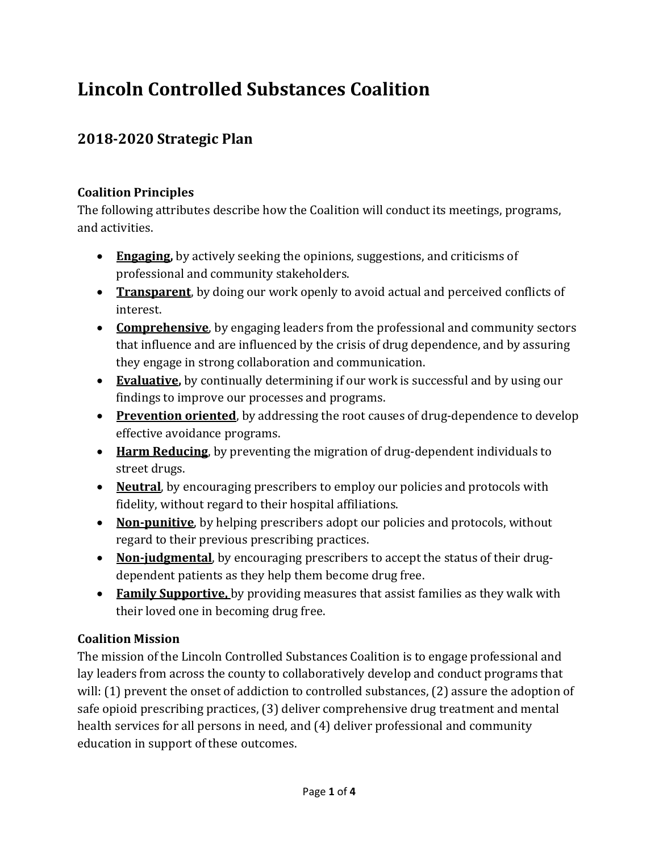# Lincoln Controlled Substances Coalition

# 2018-2020 Strategic Plan

# Coalition Principles

The following attributes describe how the Coalition will conduct its meetings, programs, and activities.

- **Engaging,** by actively seeking the opinions, suggestions, and criticisms of professional and community stakeholders.
- Transparent, by doing our work openly to avoid actual and perceived conflicts of interest.
- Comprehensive, by engaging leaders from the professional and community sectors that influence and are influenced by the crisis of drug dependence, and by assuring they engage in strong collaboration and communication.
- Evaluative, by continually determining if our work is successful and by using our findings to improve our processes and programs.
- Prevention oriented, by addressing the root causes of drug-dependence to develop effective avoidance programs.
- Harm Reducing, by preventing the migration of drug-dependent individuals to street drugs.
- Neutral, by encouraging prescribers to employ our policies and protocols with fidelity, without regard to their hospital affiliations.
- Non-punitive, by helping prescribers adopt our policies and protocols, without regard to their previous prescribing practices.
- Non-judgmental, by encouraging prescribers to accept the status of their drugdependent patients as they help them become drug free.
- Family Supportive, by providing measures that assist families as they walk with their loved one in becoming drug free.

# Coalition Mission

The mission of the Lincoln Controlled Substances Coalition is to engage professional and lay leaders from across the county to collaboratively develop and conduct programs that will: (1) prevent the onset of addiction to controlled substances, (2) assure the adoption of safe opioid prescribing practices, (3) deliver comprehensive drug treatment and mental health services for all persons in need, and (4) deliver professional and community education in support of these outcomes.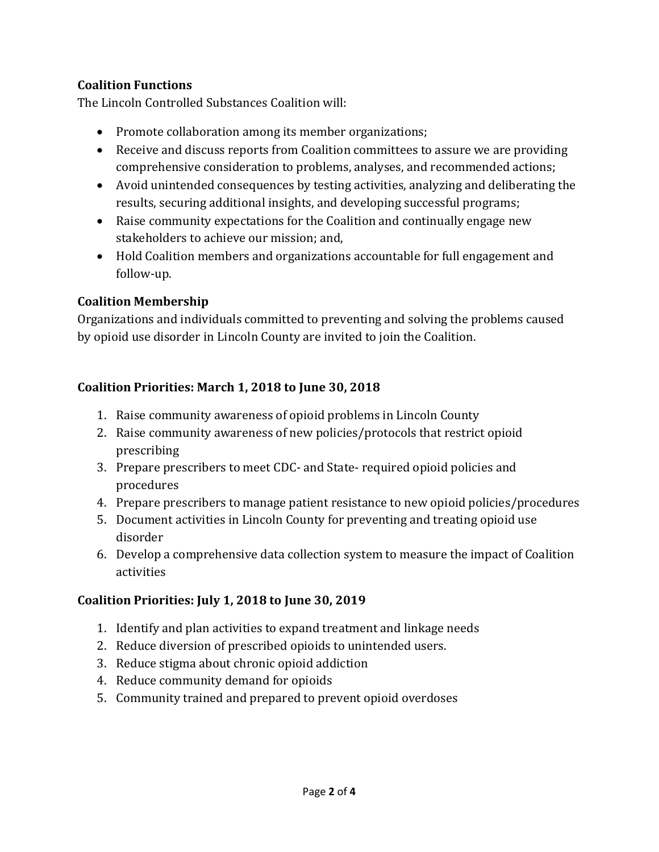### Coalition Functions

The Lincoln Controlled Substances Coalition will:

- Promote collaboration among its member organizations;
- Receive and discuss reports from Coalition committees to assure we are providing comprehensive consideration to problems, analyses, and recommended actions;
- Avoid unintended consequences by testing activities, analyzing and deliberating the results, securing additional insights, and developing successful programs;
- Raise community expectations for the Coalition and continually engage new stakeholders to achieve our mission; and,
- Hold Coalition members and organizations accountable for full engagement and follow-up.

### Coalition Membership

Organizations and individuals committed to preventing and solving the problems caused by opioid use disorder in Lincoln County are invited to join the Coalition.

## Coalition Priorities: March 1, 2018 to June 30, 2018

- 1. Raise community awareness of opioid problems in Lincoln County
- 2. Raise community awareness of new policies/protocols that restrict opioid prescribing
- 3. Prepare prescribers to meet CDC- and State- required opioid policies and procedures
- 4. Prepare prescribers to manage patient resistance to new opioid policies/procedures
- 5. Document activities in Lincoln County for preventing and treating opioid use disorder
- 6. Develop a comprehensive data collection system to measure the impact of Coalition activities

# Coalition Priorities: July 1, 2018 to June 30, 2019

- 1. Identify and plan activities to expand treatment and linkage needs
- 2. Reduce diversion of prescribed opioids to unintended users.
- 3. Reduce stigma about chronic opioid addiction
- 4. Reduce community demand for opioids
- 5. Community trained and prepared to prevent opioid overdoses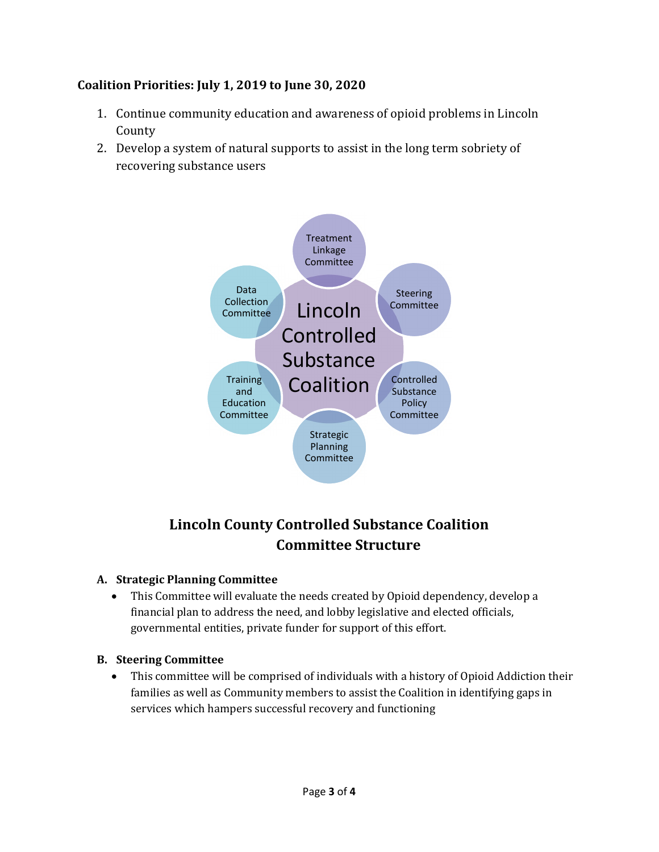## Coalition Priorities: July 1, 2019 to June 30, 2020

- 1. Continue community education and awareness of opioid problems in Lincoln County
- 2. Develop a system of natural supports to assist in the long term sobriety of recovering substance users



# Lincoln County Controlled Substance Coalition Committee Structure

#### A. Strategic Planning Committee

 This Committee will evaluate the needs created by Opioid dependency, develop a financial plan to address the need, and lobby legislative and elected officials, governmental entities, private funder for support of this effort.

#### B. Steering Committee

 This committee will be comprised of individuals with a history of Opioid Addiction their families as well as Community members to assist the Coalition in identifying gaps in services which hampers successful recovery and functioning